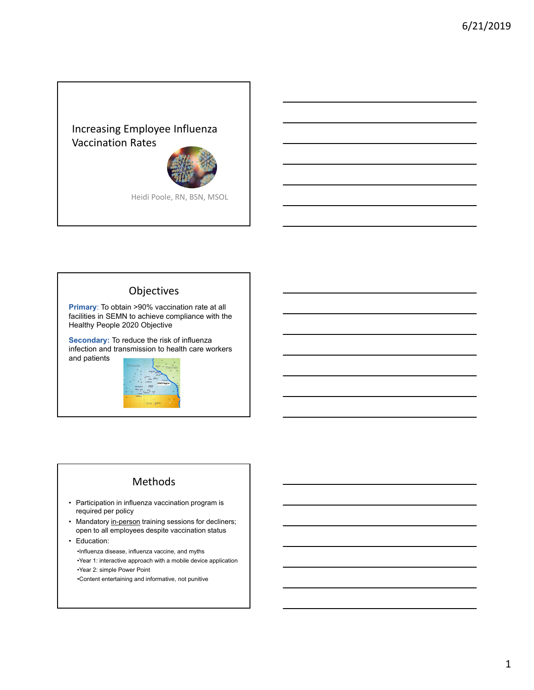## Increasing Employee Influenza Vaccination Rates



Heidi Poole, RN, BSN, MSOL

### Objectives

**Primary**: To obtain >90% vaccination rate at all facilities in SEMN to achieve compliance with the Healthy People 2020 Objective

**Secondary:** To reduce the risk of influenza infection and transmission to health care workers and patients



### Methods

- Participation in influenza vaccination program is required per policy
- Mandatory in-person training sessions for decliners; open to all employees despite vaccination status
- Education:

•Influenza disease, influenza vaccine, and myths •Year 1: interactive approach with a mobile device application •Year 2: simple Power Point •Content entertaining and informative, not punitive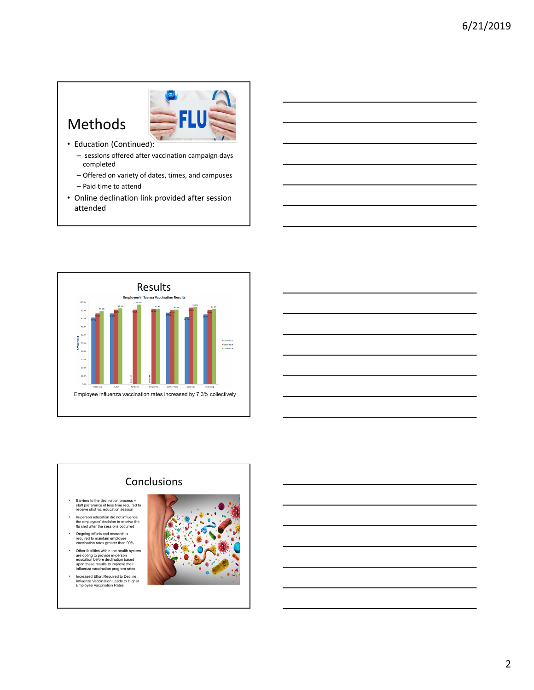# Methods



- Education (Continued):
	- sessions offered after vaccination campaign days completed
	- Offered on variety of dates, times, and campuses – Paid time to attend
	-
- Online declination link provided after session attended



# **Conclusions**

- Barriers to the declination process = staff preference of less time required to receive shot vs. education session
- In-person education did not influence the employees' decision to receive the flu shot after the sessions occurred
- Ongoing efforts and research is required to maintain employee vaccination rates greater than 90%
- Other facilities within the health system are opting to provide in-person education before declination based upon these results to improve their influenza vaccination program rates
- Increased Effort Required to Decline Influenza Vaccination Leads to Higher Employee Vaccination Rates